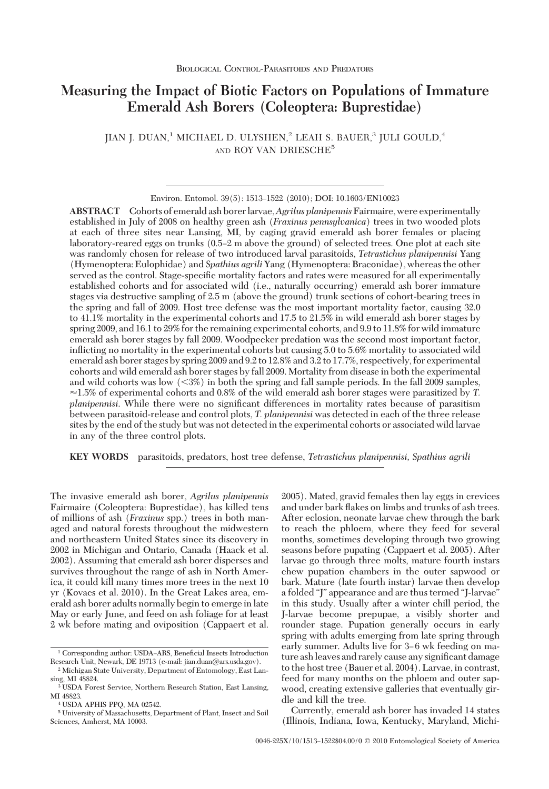# **Measuring the Impact of Biotic Factors on Populations of Immature Emerald Ash Borers (Coleoptera: Buprestidae)**

 $I$ IJAN I. DUAN, $^{1}$ MICHAEL D. ULYSHEN, $^{2}$  LEAH S. BAUER, $^{3}$  JULI GOULD,  $^{4}$ AND ROY VAN DRIESCHE<sup>5</sup>

Environ. Entomol. 39(5): 1513-1522 (2010); DOI: 10.1603/EN10023

**ABSTRACT** Cohorts of emerald ash borerlarvae,*Agrilus planipennis*Fairmaire, were experimentally established in July of 2008 on healthy green ash (*Fraxinus pennsylvanica*) trees in two wooded plots at each of three sites near Lansing, MI, by caging gravid emerald ash borer females or placing laboratory-reared eggs on trunks (0.5–2 m above the ground) of selected trees. One plot at each site was randomly chosen for release of two introduced larval parasitoids, *Tetrastichus planipennisi* Yang (Hymenoptera: Eulophidae) and *Spathius agrili* Yang (Hymenoptera: Braconidae), whereas the other served as the control. Stage-specific mortality factors and rates were measured for all experimentally established cohorts and for associated wild (i.e., naturally occurring) emerald ash borer immature stages via destructive sampling of 2.5 m (above the ground) trunk sections of cohort-bearing trees in the spring and fall of 2009. Host tree defense was the most important mortality factor, causing 32.0 to 41.1% mortality in the experimental cohorts and 17.5 to 21.5% in wild emerald ash borer stages by spring 2009, and 16.1 to 29% for the remaining experimental cohorts, and 9.9 to 11.8% for wild immature emerald ash borer stages by fall 2009. Woodpecker predation was the second most important factor, inßicting no mortality in the experimental cohorts but causing 5.0 to 5.6% mortality to associated wild emerald ash borer stages by spring 2009 and 9.2 to 12.8% and 3.2 to 17.7%, respectively, for experimental cohorts and wild emerald ash borer stages by fall 2009. Mortality from disease in both the experimental and wild cohorts was low (<3%) in both the spring and fall sample periods. In the fall 2009 samples,  $\approx$  1.5% of experimental cohorts and 0.8% of the wild emerald ash borer stages were parasitized by *T*. *planipennisi*. While there were no significant differences in mortality rates because of parasitism between parasitoid-release and control plots, *T. planipennisi* was detected in each of the three release sites by the end of the study but was not detected in the experimental cohorts or associated wild larvae in any of the three control plots.

**KEY WORDS** parasitoids, predators, host tree defense, *Tetrastichus planipennisi, Spathius agrili*

The invasive emerald ash borer, *Agrilus planipennis* Fairmaire (Coleoptera: Buprestidae), has killed tens of millions of ash (*Fraxinus* spp.) trees in both managed and natural forests throughout the midwestern and northeastern United States since its discovery in 2002 in Michigan and Ontario, Canada (Haack et al. 2002). Assuming that emerald ash borer disperses and survives throughout the range of ash in North America, it could kill many times more trees in the next 10 yr (Kovacs et al. 2010). In the Great Lakes area, emerald ash borer adults normally begin to emerge in late May or early June, and feed on ash foliage for at least 2 wk before mating and oviposition (Cappaert et al.

2005). Mated, gravid females then lay eggs in crevices and under bark ßakes on limbs and trunks of ash trees. After eclosion, neonate larvae chew through the bark to reach the phloem, where they feed for several months, sometimes developing through two growing seasons before pupating (Cappaert et al. 2005). After larvae go through three molts, mature fourth instars chew pupation chambers in the outer sapwood or bark. Mature (late fourth instar) larvae then develop a folded "J" appearance and are thus termed "J-larvae" in this study. Usually after a winter chill period, the J-larvae become prepupae, a visibly shorter and rounder stage. Pupation generally occurs in early spring with adults emerging from late spring through early summer. Adults live for 3–6 wk feeding on mature ash leaves and rarely cause any significant damage to the host tree (Bauer et al. 2004). Larvae, in contrast, feed for many months on the phloem and outer sapwood, creating extensive galleries that eventually girdle and kill the tree.

Currently, emerald ash borer has invaded 14 states (Illinois, Indiana, Iowa, Kentucky, Maryland, Michi-

<sup>&</sup>lt;sup>1</sup> Corresponding author: USDA-ARS, Beneficial Insects Introduction Research Unit, Newark, DE 19713 (e-mail: jian.duan@ars.usda.gov).

<sup>2</sup> Michigan State University, Department of Entomology, East Lansing, MI 48824.

<sup>3</sup> USDA Forest Service, Northern Research Station, East Lansing, MI 48823.

<sup>4</sup> USDA APHIS PPQ, MA 02542.

<sup>5</sup> University of Massachusetts, Department of Plant, Insect and Soil Sciences, Amherst, MA 10003.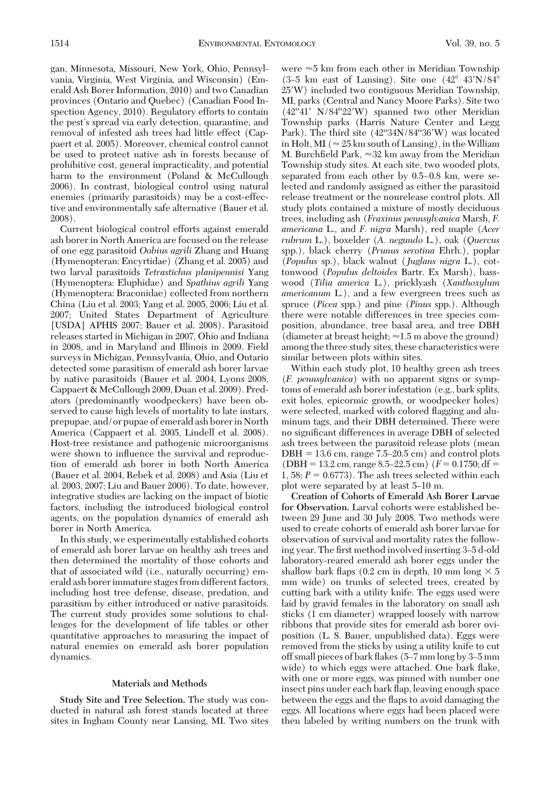gan, Minnesota, Missouri, New York, Ohio, Pennsylvania, Virginia, West Virginia, and Wisconsin) (Emerald Ash Borer Information, 2010) and two Canadian provinces (Ontario and Quebec) (Canadian Food Inspection Agency, 2010). Regulatory efforts to contain the pest's spread via early detection, quarantine, and removal of infested ash trees had little effect (Cappaert et al. 2005). Moreover, chemical control cannot be used to protect native ash in forests because of prohibitive cost, general impracticality, and potential harm to the environment (Poland & McCullough 2006). In contrast, biological control using natural enemies (primarily parasitoids) may be a cost-effective and environmentally safe alternative (Bauer et al. 2008).

Current biological control efforts against emerald ash borer in North America are focused on the release of one egg parasitoid *Oobius agrili* Zhang and Huang (Hymenopteran: Encyrtidae) (Zhang et al. 2005) and two larval parasitoids *Tetrastichus planipennisi* Yang (Hymenoptera: Eluphidae) and *Spathius agrili* Yang (Hymenoptera: Braconidae) collected from northern China (Liu et al. 2003; Yang et al. 2005, 2006; Liu et al. 2007; United States Department of Agriculture [USDA] APHIS 2007; Bauer et al. 2008). Parasitoid releases started in Michigan in 2007, Ohio and Indiana in 2008, and in Maryland and Illinois in 2009. Field surveys in Michigan, Pennsylvania, Ohio, and Ontario detected some parasitism of emerald ash borer larvae by native parasitoids (Bauer et al. 2004, Lyons 2008, Cappaert & McCullough 2009, Duan et al. 2009). Predators (predominantly woodpeckers) have been observed to cause high levels of mortality to late instars, prepupae, and/or pupae of emerald ash borer in North America (Cappaert et al. 2005, Lindell et al. 2008). Host-tree resistance and pathogenic microorganisms were shown to influence the survival and reproduction of emerald ash borer in both North America (Bauer et al. 2004, Rebek et al. 2008) and Asia (Liu et al. 2003, 2007; Liu and Bauer 2006). To date, however, integrative studies are lacking on the impact of biotic factors, including the introduced biological control agents, on the population dynamics of emerald ash borer in North America.

In this study, we experimentally established cohorts of emerald ash borer larvae on healthy ash trees and then determined the mortality of those cohorts and that of associated wild (i.e., naturally occurring) emerald ash borer immature stages from different factors, including host tree defense, disease, predation, and parasitism by either introduced or native parasitoids. The current study provides some solutions to challenges for the development of life tables or other quantitative approaches to measuring the impact of natural enemies on emerald ash borer population dynamics.

# **Materials and Methods**

**Study Site and Tree Selection.** The study was conducted in natural ash forest stands located at three sites in Ingham County near Lansing, MI. Two sites

were  $\approx$ 5 km from each other in Meridian Township (3–5 km east of Lansing). Site one  $(42^{\circ} 43'N/84^{\circ})$ 25W) included two contiguous Meridian Township, MI, parks (Central and Nancy Moore Parks). Site two (42°41′ N/84°22′W) spanned two other Meridian Township parks (Harris Nature Center and Legg Park). The third site (42°34N/84°36'W) was located in Holt, MI ( $\approx 25$  km south of Lansing), in the William M. Burchfield Park,  $\approx 32$  km away from the Meridian Township study sites. At each site, two wooded plots, separated from each other by  $0.5-0.8$  km, were selected and randomly assigned as either the parasitoid release treatment or the nonrelease control plots. All study plots contained a mixture of mostly deciduous trees, including ash (*Fraxinus pennsylvanica* Marsh, *F. americana* L.*,* and *F. nigra* Marsh), red maple (*Acer rubrum* L.), boxelder (*A. negundo* L.), oak (*Quercus* spp.), black cherry (*Prunus serotina* Ehrh.), poplar (*Populus* sp.), black walnut (*Juglans nigra* L.), cottonwood (*Populus deltoides* Bartr. Ex Marsh), basswood (*Tilia america* L.), pricklyash (*Xanthoxylum americanum* L.), and a few evergreen trees such as spruce (*Picea* spp.) and pine (*Pinus* spp.). Although there were notable differences in tree species composition, abundance, tree basal area, and tree DBH (diameter at breast height;  $\approx 1.5$  m above the ground) among the three study sites, these characteristics were similar between plots within sites.

Within each study plot, 10 healthy green ash trees (*F. pennsylvanica*) with no apparent signs or symptoms of emerald ash borer infestation (e.g., bark splits, exit holes, epicormic growth, or woodpecker holes) were selected, marked with colored ßagging and aluminum tags, and their DBH determined. There were no significant differences in average DBH of selected ash trees between the parasitoid release plots (mean  $DBH = 13.6$  cm, range  $7.5-20.5$  cm) and control plots  $(DBH = 13.2 \text{ cm}, \text{range } 8.5-22.5 \text{ cm})$   $(F = 0.1750; df =$ 1, 58;  $P = 0.6773$ ). The ash trees selected within each plot were separated by at least 5–10 m.

**Creation of Cohorts of Emerald Ash Borer Larvae for Observation.** Larval cohorts were established between 29 June and 30 July 2008. Two methods were used to create cohorts of emerald ash borer larvae for observation of survival and mortality rates the following year. The first method involved inserting 3-5 d-old laboratory-reared emerald ash borer eggs under the shallow bark flaps (0.2 cm in depth, 10 mm long  $\times$  5 mm wide) on trunks of selected trees, created by cutting bark with a utility knife. The eggs used were laid by gravid females in the laboratory on small ash sticks (1 cm diameter) wrapped loosely with narrow ribbons that provide sites for emerald ash borer oviposition (L. S. Bauer, unpublished data). Eggs were removed from the sticks by using a utility knife to cut off small pieces of bark flakes  $(5–7 \text{ mm} \log{\text{b}} y - 3 - 5 \text{ mm} \cdot$ wide) to which eggs were attached. One bark flake, with one or more eggs, was pinned with number one insect pins under each bark ßap, leaving enough space between the eggs and the ßaps to avoid damaging the eggs. All locations where eggs had been placed were then labeled by writing numbers on the trunk with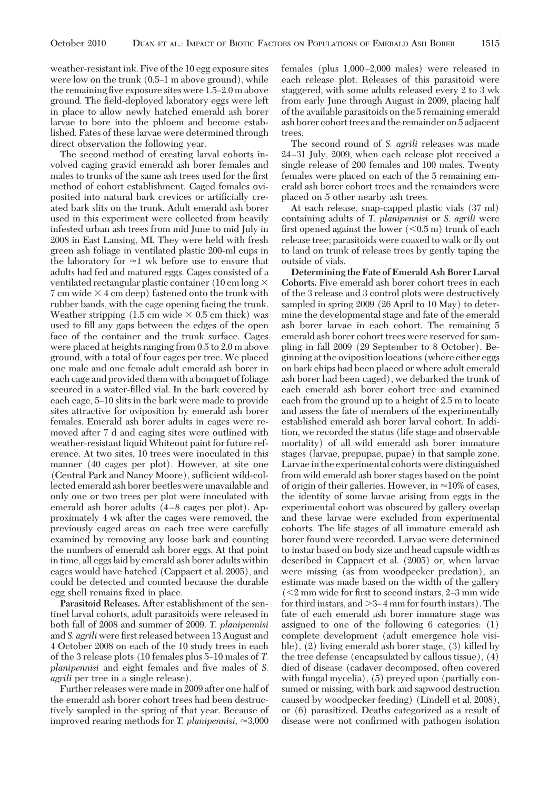weather-resistant ink. Five of the 10 egg exposure sites were low on the trunk  $(0.5-1 \text{ m}$  above ground), while the remaining five exposure sites were  $1.5-2.0$  m above ground. The field-deployed laboratory eggs were left in place to allow newly hatched emerald ash borer larvae to bore into the phloem and become established. Fates of these larvae were determined through direct observation the following year.

The second method of creating larval cohorts involved caging gravid emerald ash borer females and males to trunks of the same ash trees used for the first method of cohort establishment. Caged females oviposited into natural bark crevices or artificially created bark slits on the trunk. Adult emerald ash borer used in this experiment were collected from heavily infested urban ash trees from mid June to mid July in 2008 in East Lansing, MI. They were held with fresh green ash foliage in ventilated plastic 200-ml cups in the laboratory for  $\approx$ 1 wk before use to ensure that adults had fed and matured eggs. Cages consisted of a ventilated rectangular plastic container (10 cm long  $\times$ 7 cm wide  $\times$  4 cm deep) fastened onto the trunk with rubber bands, with the cage opening facing the trunk. Weather stripping  $(1.5 \text{ cm wide} \times 0.5 \text{ cm thick})$  was used to fill any gaps between the edges of the open face of the container and the trunk surface. Cages were placed at heights ranging from 0.5 to 2.0 m above ground, with a total of four cages per tree. We placed one male and one female adult emerald ash borer in each cage and provided them with a bouquet of foliage secured in a water-filled vial. In the bark covered by each cage, 5-10 slits in the bark were made to provide sites attractive for oviposition by emerald ash borer females. Emerald ash borer adults in cages were removed after 7 d and caging sites were outlined with weather-resistant liquid Whiteout paint for future reference. At two sites, 10 trees were inoculated in this manner (40 cages per plot). However, at site one (Central Park and Nancy Moore), sufficient wild-collected emerald ash borer beetles were unavailable and only one or two trees per plot were inoculated with emerald ash borer adults  $(4-8$  cages per plot). Approximately 4 wk after the cages were removed, the previously caged areas on each tree were carefully examined by removing any loose bark and counting the numbers of emerald ash borer eggs. At that point in time, all eggs laid by emerald ash borer adults within cages would have hatched (Cappaert et al. 2005), and could be detected and counted because the durable egg shell remains fixed in place.

**Parasitoid Releases.** After establishment of the sentinel larval cohorts, adult parasitoids were released in both fall of 2008 and summer of 2009. *T. planipennisi* and *S. agrili* were first released between 13 August and 4 October 2008 on each of the 10 study trees in each of the 3 release plots (10 females plus 5Ð10 males of *T. planipennisi* and eight females and five males of *S*. *agrili* per tree in a single release).

Further releases were made in 2009 after one half of the emerald ash borer cohort trees had been destructively sampled in the spring of that year. Because of improved rearing methods for *T. planipennisi*,  $\approx 3,000$ 

females (plus  $1,000-2,000$  males) were released in each release plot. Releases of this parasitoid were staggered, with some adults released every 2 to 3 wk from early June through August in 2009, placing half of the available parasitoids on the 5 remaining emerald ash borer cohort trees and the remainder on 5 adjacent trees.

The second round of *S. agrili* releases was made 24 Ð31 July, 2009, when each release plot received a single release of 200 females and 100 males. Twenty females were placed on each of the 5 remaining emerald ash borer cohort trees and the remainders were placed on 5 other nearby ash trees.

At each release, snap-capped plastic vials (37 ml) containing adults of *T. planipennisi* or *S. agrili* were first opened against the lower  $(<\!0.5 \text{ m})$  trunk of each release tree; parasitoids were coaxed to walk or ßy out to land on trunk of release trees by gently taping the outside of vials.

**Determining the Fate of Emerald Ash Borer Larval Cohorts.** Five emerald ash borer cohort trees in each of the 3 release and 3 control plots were destructively sampled in spring 2009 (26 April to 10 May) to determine the developmental stage and fate of the emerald ash borer larvae in each cohort. The remaining 5 emerald ash borer cohort trees were reserved for sampling in fall 2009 (29 September to 8 October). Beginning at the oviposition locations (where either eggs on bark chips had been placed or where adult emerald ash borer had been caged), we debarked the trunk of each emerald ash borer cohort tree and examined each from the ground up to a height of 2.5 m to locate and assess the fate of members of the experimentally established emerald ash borer larval cohort. In addition, we recorded the status (life stage and observable mortality) of all wild emerald ash borer immature stages (larvae, prepupae, pupae) in that sample zone. Larvae in the experimental cohorts were distinguished from wild emerald ash borer stages based on the point of origin of their galleries. However, in  $\approx$ 10% of cases, the identity of some larvae arising from eggs in the experimental cohort was obscured by gallery overlap and these larvae were excluded from experimental cohorts. The life stages of all immature emerald ash borer found were recorded. Larvae were determined to instar based on body size and head capsule width as described in Cappaert et al. (2005) or, when larvae were missing (as from woodpecker predation), an estimate was made based on the width of the gallery  $\leq$  2 mm wide for first to second instars, 2–3 mm wide for third instars, and  $>3-4$  mm for fourth instars). The fate of each emerald ash borer immature stage was assigned to one of the following 6 categories: (1) complete development (adult emergence hole visible), (2) living emerald ash borer stage, (3) killed by the tree defense (encapsulated by callous tissue), (4) died of disease (cadaver decomposed, often covered with fungal mycelia), (5) preyed upon (partially consumed or missing, with bark and sapwood destruction caused by woodpecker feeding) (Lindell et al. 2008), or (6) parasitized. Deaths categorized as a result of disease were not confirmed with pathogen isolation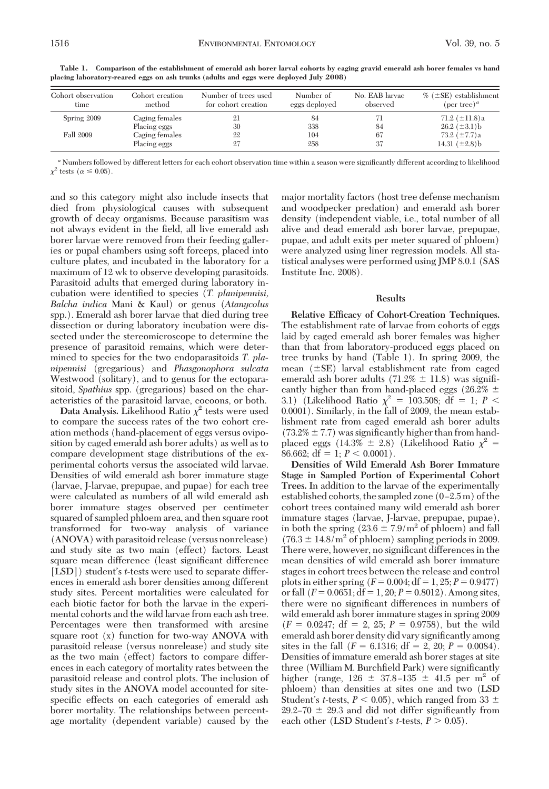| Cohort observation | Cohort creation                | Number of trees used | Number of     | No. EAB larvae | $\%$ ( $\pm$ SE) establishment            |
|--------------------|--------------------------------|----------------------|---------------|----------------|-------------------------------------------|
| time               | method                         | for cohort creation  | eggs deployed | observed       | (per tree) <sup><i>a</i></sup>            |
| Spring 2009        | Caging females<br>Placing eggs | 30                   | 84<br>338     | 84             | 71.2 $(\pm 11.8)$ a<br>$26.2~(\pm 3.1)$ b |
| Fall 2009          | Caging females                 | 22                   | 104           | 67             | 73.2 $(\pm 7.7)a$                         |
|                    | Placing eggs                   | 27                   | 258           | 37             | 14.31 $(\pm 2.8)$ b                       |

**Table 1. Comparison of the establishment of emerald ash borer larval cohorts by caging gravid emerald ash borer females vs hand placing laboratory-reared eggs on ash trunks (adults and eggs were deployed July 2008)**

<sup>a</sup> Numbers followed by different letters for each cohort observation time within a season were significantly different according to likelihood  $\chi^2$  tests ( $\alpha \leq 0.05$ ).

and so this category might also include insects that died from physiological causes with subsequent growth of decay organisms. Because parasitism was not always evident in the field, all live emerald ash borer larvae were removed from their feeding galleries or pupal chambers using soft forceps, placed into culture plates, and incubated in the laboratory for a maximum of 12 wk to observe developing parasitoids. Parasitoid adults that emerged during laboratory incubation were identified to species (*T. planipennisi*, *Balcha indica* Mani & Kaul) or genus (*Atanycolus* spp.). Emerald ash borer larvae that died during tree dissection or during laboratory incubation were dissected under the stereomicroscope to determine the presence of parasitoid remains, which were determined to species for the two endoparasitoids *T. planipennisi* (gregarious) and *Phasgonophora sulcata* Westwood (solitary), and to genus for the ectoparasitoid, *Spathius* spp. (gregarious) based on the characteristics of the parasitoid larvae, cocoons, or both.

Data Analysis. Likelihood Ratio  $\chi^2$  tests were used to compare the success rates of the two cohort creation methods (hand-placement of eggs versus oviposition by caged emerald ash borer adults) as well as to compare development stage distributions of the experimental cohorts versus the associated wild larvae. Densities of wild emerald ash borer immature stage (larvae, J-larvae, prepupae, and pupae) for each tree were calculated as numbers of all wild emerald ash borer immature stages observed per centimeter squared of sampled phloem area, and then square root transformed for two-way analysis of variance (ANOVA) with parasitoid release (versus nonrelease) and study site as two main (effect) factors. Least square mean difference (least significant difference [LSD]) student's *t*-tests were used to separate differences in emerald ash borer densities among different study sites. Percent mortalities were calculated for each biotic factor for both the larvae in the experimental cohorts and the wild larvae from each ash tree. Percentages were then transformed with arcsine square root (x) function for two-way ANOVA with parasitoid release (versus nonrelease) and study site as the two main (effect) factors to compare differences in each category of mortality rates between the parasitoid release and control plots. The inclusion of study sites in the ANOVA model accounted for sitespecific effects on each categories of emerald ash borer mortality. The relationships between percentage mortality (dependent variable) caused by the

major mortality factors (host tree defense mechanism and woodpecker predation) and emerald ash borer density (independent viable, i.e., total number of all alive and dead emerald ash borer larvae, prepupae, pupae, and adult exits per meter squared of phloem) were analyzed using liner regression models. All statistical analyses were performed using JMP 8.0.1 (SAS Institute Inc. 2008).

### **Results**

**Relative Efficacy of Cohort-Creation Techniques.** The establishment rate of larvae from cohorts of eggs laid by caged emerald ash borer females was higher than that from laboratory-produced eggs placed on tree trunks by hand (Table 1). In spring 2009, the mean  $(\pm SE)$  larval establishment rate from caged emerald ash borer adults (71.2%  $\pm$  11.8) was significantly higher than from hand-placed eggs (26.2%  $\pm$ 3.1) (Likelihood Ratio  $\chi^2 = 103.508$ ; df = 1; *P* < 0.0001). Similarly, in the fall of 2009, the mean establishment rate from caged emerald ash borer adults  $(73.2\% \pm 7.7)$  was significantly higher than from handplaced eggs (14.3%  $\pm$  2.8) (Likelihood Ratio  $\chi^2$  =  $86.662$ ; df = 1;  $P < 0.0001$ ).

**Densities of Wild Emerald Ash Borer Immature Stage in Sampled Portion of Experimental Cohort Trees.** In addition to the larvae of the experimentally established cohorts, the sampled zone  $(0-2.5m)$  of the cohort trees contained many wild emerald ash borer immature stages (larvae, J-larvae, prepupae, pupae), in both the spring  $(23.6 \pm 7.9/m^2)$  of phloem) and fall  $(76.3 \pm 14.8/m^2 \text{ of }$  phloem) sampling periods in 2009. There were, however, no significant differences in the mean densities of wild emerald ash borer immature stages in cohort trees between the release and control plots in either spring  $(F = 0.004; df = 1, 25; P = 0.9477)$ or fall  $(F = 0.0651; df = 1, 20; P = 0.8012)$ . Among sites, there were no significant differences in numbers of wild emerald ash borer immature stages in spring 2009  $(F = 0.0247$ ; df = 2, 25;  $P = 0.9758$ ), but the wild emerald ash borer density did vary significantly among sites in the fall  $(F = 6.1316; df = 2, 20; P = 0.0084)$ . Densities of immature emerald ash borer stages at site three (William M. Burchfield Park) were significantly higher (range,  $126 \pm 37.8 - 135 \pm 41.5$  per m<sup>2</sup> of phloem) than densities at sites one and two (LSD Student's *t*-tests,  $P < 0.05$ ), which ranged from 33  $\pm$  $29.2-70 \pm 29.3$  and did not differ significantly from each other (LSD Student's *t*-tests,  $P > 0.05$ ).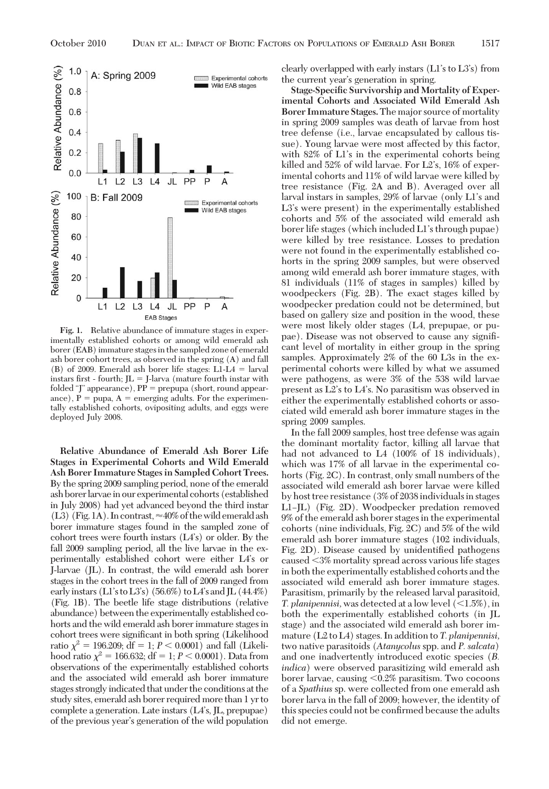

**Fig. 1.** Relative abundance of immature stages in experimentally established cohorts or among wild emerald ash borer (EAB) immature stages in the sampled zone of emerald ash borer cohort trees, as observed in the spring (A) and fall (B) of 2009. Emerald ash borer life stages:  $L1-L4 = \text{larval}$ instars first - fourth;  $JL = J$ -larva (mature fourth instar with folded "J" appearance),  $PP =$  prepupa (short, round appearance),  $P = pupa$ ,  $A = emerging$  adults. For the experimentally established cohorts, ovipositing adults, and eggs were deployed July 2008.

**Relative Abundance of Emerald Ash Borer Life Stages in Experimental Cohorts and Wild Emerald Ash Borer Immature Stages in Sampled Cohort Trees.** By the spring 2009 sampling period, none of the emerald ashborerlarvaein our experimental cohorts (established in July 2008) had yet advanced beyond the third instar (L3) (Fig. 1A). In contrast,  $\approx$  40% of the wild emerald ash borer immature stages found in the sampled zone of cohort trees were fourth instars  $(L4's)$  or older. By the fall 2009 sampling period, all the live larvae in the experimentally established cohort were either LA's or J-larvae (JL). In contrast, the wild emerald ash borer stages in the cohort trees in the fall of 2009 ranged from early instars (L1's to L3's) (56.6%) to L4's and JL (44.4%) (Fig. 1B). The beetle life stage distributions (relative abundance) between the experimentally established cohorts and the wild emerald ash borer immature stages in cohort trees were significant in both spring (Likelihood ratio  $\chi^2 = 196.209$ ; df = 1; *P* < 0.0001) and fall (Likelihood ratio  $\chi^2 = 166.632$ ; df = 1; *P* < 0.0001). Data from observations of the experimentally established cohorts and the associated wild emerald ash borer immature stages strongly indicated that under the conditions at the study sites, emerald ash borer required more than 1 yr to complete a generation. Late instars (L4's, JL, prepupae) of the previous year's generation of the wild population

clearly overlapped with early instars  $(L1's to L3's)$  from the current year's generation in spring.

**Stage-Specific Survivorship and Mortality of Experimental Cohorts and Associated Wild Emerald Ash Borer Immature Stages.**The major source of mortality in spring 2009 samples was death of larvae from host tree defense (i.e., larvae encapsulated by callous tissue). Young larvae were most affected by this factor, with 82% of L1's in the experimental cohorts being killed and  $52\%$  of wild larvae. For  $L2$ 's,  $16\%$  of experimental cohorts and 11% of wild larvae were killed by tree resistance (Fig. 2A and B). Averaged over all larval instars in samples, 29% of larvae (only L1's and  $L3$ 's were present) in the experimentally established cohorts and 5% of the associated wild emerald ash borer life stages (which included L1's through pupae) were killed by tree resistance. Losses to predation were not found in the experimentally established cohorts in the spring 2009 samples, but were observed among wild emerald ash borer immature stages, with 81 individuals (11% of stages in samples) killed by woodpeckers (Fig. 2B). The exact stages killed by woodpecker predation could not be determined, but based on gallery size and position in the wood, these were most likely older stages (L4, prepupae, or pupae). Disease was not observed to cause any signiÞcant level of mortality in either group in the spring samples. Approximately 2% of the 60 L3s in the experimental cohorts were killed by what we assumed were pathogens, as were 3% of the 538 wild larvae present as  $L2$ 's to  $L4$ 's. No parasitism was observed in either the experimentally established cohorts or associated wild emerald ash borer immature stages in the spring 2009 samples.

In the fall 2009 samples, host tree defense was again the dominant mortality factor, killing all larvae that had not advanced to L4 (100% of 18 individuals), which was 17% of all larvae in the experimental cohorts (Fig. 2C). In contrast, only small numbers of the associated wild emerald ash borer larvae were killed by host tree resistance (3% of 2038individualsin stages L1– $|L|$  (Fig. 2D). Woodpecker predation removed 9% of the emerald ash borer stages in the experimental cohorts (nine individuals, Fig. 2C) and 5% of the wild emerald ash borer immature stages (102 individuals, Fig. 2D). Disease caused by unidentified pathogens caused -3% mortality spread across various life stages in both the experimentally established cohorts and the associated wild emerald ash borer immature stages. Parasitism, primarily by the released larval parasitoid, *T. planipennisi*, was detected at a low level  $(\leq 1.5\%)$ , in both the experimentally established cohorts (in JL stage) and the associated wild emerald ash borer immature (L2 to L4) stages. In addition to *T. planipennisi,* two native parasitoids (*Atanycolus* spp. and *P. salcata*) and one inadvertently introduced exotic species (*B. indica*) were observed parasitizing wild emerald ash borer larvae, causing -0.2% parasitism. Two cocoons of a *Spathius* sp. were collected from one emerald ash borer larva in the fall of 2009; however, the identity of this species could not be confirmed because the adults did not emerge.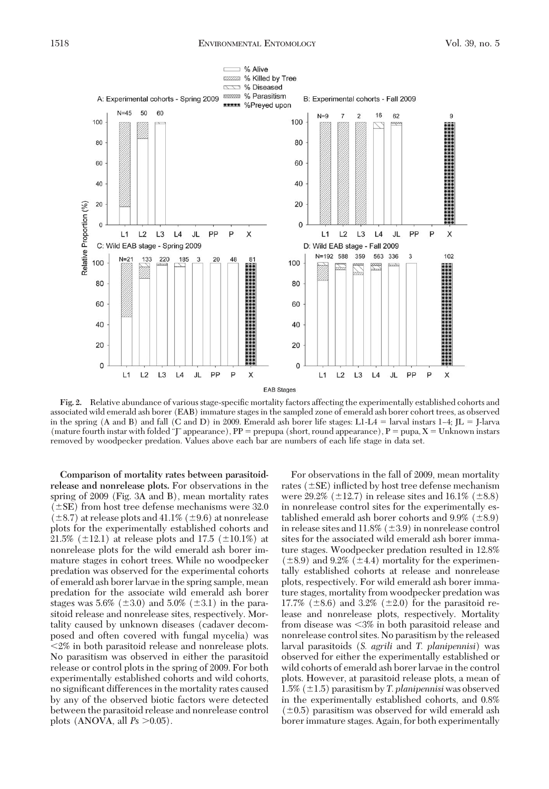

Fig. 2. Relative abundance of various stage-specific mortality factors affecting the experimentally established cohorts and associated wild emerald ash borer (EAB) immature stages in the sampled zone of emerald ash borer cohort trees, as observed in the spring (A and B) and fall (C and D) in 2009. Emerald ash borer life stages: L1-L4 = larval instars  $1-4$ ; JL = J-larva (mature fourth instar with folded "J" appearance),  $PP =$  prepupa (short, round appearance),  $P =$  pupa,  $X =$  Unknown instars removed by woodpecker predation. Values above each bar are numbers of each life stage in data set.

**Comparison of mortality rates between parasitoidrelease and nonrelease plots.** For observations in the spring of 2009 (Fig. 3A and B), mean mortality rates  $(\pm$ SE) from host tree defense mechanisms were 32.0  $(\pm 8.7)$  at release plots and 41.1% ( $\pm 9.6$ ) at nonrelease plots for the experimentally established cohorts and 21.5% ( $\pm$ 12.1) at release plots and 17.5 ( $\pm$ 10.1%) at nonrelease plots for the wild emerald ash borer immature stages in cohort trees. While no woodpecker predation was observed for the experimental cohorts of emerald ash borer larvae in the spring sample, mean predation for the associate wild emerald ash borer stages was 5.6% ( $\pm 3.0$ ) and 5.0% ( $\pm 3.1$ ) in the parasitoid release and nonrelease sites, respectively. Mortality caused by unknown diseases (cadaver decomposed and often covered with fungal mycelia) was -2% in both parasitoid release and nonrelease plots. No parasitism was observed in either the parasitoid release or control plots in the spring of 2009. For both experimentally established cohorts and wild cohorts, no significant differences in the mortality rates caused by any of the observed biotic factors were detected between the parasitoid release and nonrelease control plots (ANOVA, all  $P_s > 0.05$ ).

For observations in the fall of 2009, mean mortality rates ( $\pm$ SE) inflicted by host tree defense mechanism were 29.2% ( $\pm$ 12.7) in release sites and 16.1% ( $\pm$ 8.8) in nonrelease control sites for the experimentally established emerald ash borer cohorts and  $9.9\%$  ( $\pm 8.9$ ) in release sites and  $11.8\%$  ( $\pm 3.9$ ) in nonrelease control sites for the associated wild emerald ash borer immature stages. Woodpecker predation resulted in 12.8%  $(\pm 8.9)$  and 9.2%  $(\pm 4.4)$  mortality for the experimentally established cohorts at release and nonrelease plots, respectively. For wild emerald ash borer immature stages, mortality from woodpecker predation was 17.7% ( $\pm$ 8.6) and 3.2% ( $\pm$ 2.0) for the parasitoid release and nonrelease plots, respectively. Mortality from disease was -3% in both parasitoid release and nonrelease control sites. No parasitism by the released larval parasitoids (*S. agrili* and *T. planipennisi*) was observed for either the experimentally established or wild cohorts of emerald ash borer larvae in the control plots. However, at parasitoid release plots, a mean of 1.5%  $(\pm 1.5)$  parasitism by *T. planipennisi* was observed in the experimentally established cohorts, and 0.8%  $(\pm 0.5)$  parasitism was observed for wild emerald ash borer immature stages. Again, for both experimentally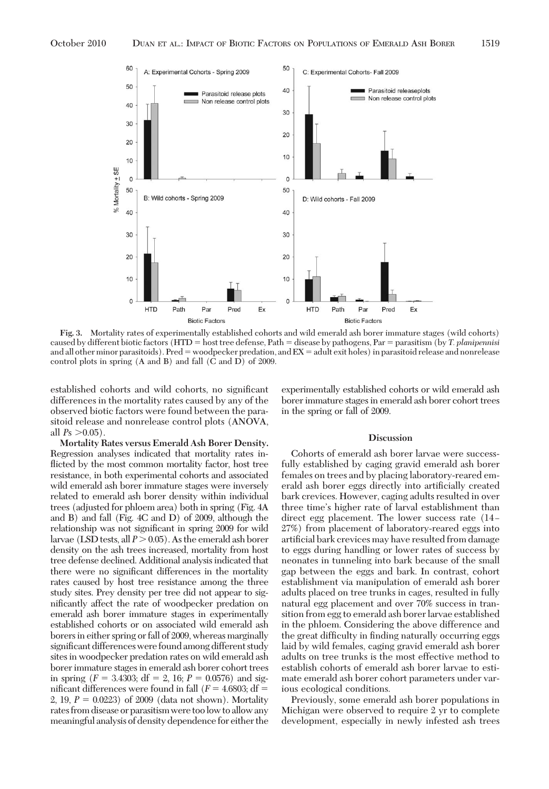

**Fig. 3.** Mortality rates of experimentally established cohorts and wild emerald ash borer immature stages (wild cohorts) caused by different biotic factors (HTD = host tree defense, Path = disease by pathogens, Par = parasitism (by *T. planipennisi* and all other minor parasitoids). Pred = woodpecker predation, and  $EX =$  adult exit holes) in parasitoid release and nonrelease control plots in spring (A and B) and fall (C and D) of 2009.

established cohorts and wild cohorts, no significant differences in the mortality rates caused by any of the observed biotic factors were found between the parasitoid release and nonrelease control plots (ANOVA, all  $P_s > 0.05$ ).

**Mortality Rates versus Emerald Ash Borer Density.** Regression analyses indicated that mortality rates inflicted by the most common mortality factor, host tree resistance, in both experimental cohorts and associated wild emerald ash borer immature stages were inversely related to emerald ash borer density within individual trees (adjusted for phloem area) both in spring (Fig. 4A and B) and fall (Fig. 4C and D) of 2009, although the relationship was not significant in spring 2009 for wild larvae (LSD tests, all  $P > 0.05$ ). As the emerald ash borer density on the ash trees increased, mortality from host tree defense declined. Additional analysis indicated that there were no significant differences in the mortality rates caused by host tree resistance among the three study sites. Prey density per tree did not appear to significantly affect the rate of woodpecker predation on emerald ash borer immature stages in experimentally established cohorts or on associated wild emerald ash borers in either spring or fall of 2009, whereas marginally significant differences were found among different study sites in woodpecker predation rates on wild emerald ash borer immature stages in emerald ash borer cohort trees in spring ( $F = 3.4303$ ; df = 2, 16;  $P = 0.0576$ ) and significant differences were found in fall  $(F = 4.6803; df =$ 2, 19,  $P = 0.0223$ ) of 2009 (data not shown). Mortality rates from disease or parasitismwere toolow toallowany meaningful analysis of density dependence for either the

experimentally established cohorts or wild emerald ash borer immature stages in emerald ash borer cohort trees in the spring or fall of 2009.

#### **Discussion**

Cohorts of emerald ash borer larvae were successfully established by caging gravid emerald ash borer females on trees and by placing laboratory-reared emerald ash borer eggs directly into artificially created bark crevices. However, caging adults resulted in over three time's higher rate of larval establishment than direct egg placement. The lower success rate (14– 27%) from placement of laboratory-reared eggs into artificial bark crevices may have resulted from damage to eggs during handling or lower rates of success by neonates in tunneling into bark because of the small gap between the eggs and bark. In contrast, cohort establishment via manipulation of emerald ash borer adults placed on tree trunks in cages, resulted in fully natural egg placement and over 70% success in transition from egg to emerald ash borer larvae established in the phloem. Considering the above difference and the great difficulty in finding naturally occurring eggs laid by wild females, caging gravid emerald ash borer adults on tree trunks is the most effective method to establish cohorts of emerald ash borer larvae to estimate emerald ash borer cohort parameters under various ecological conditions.

Previously, some emerald ash borer populations in Michigan were observed to require 2 yr to complete development, especially in newly infested ash trees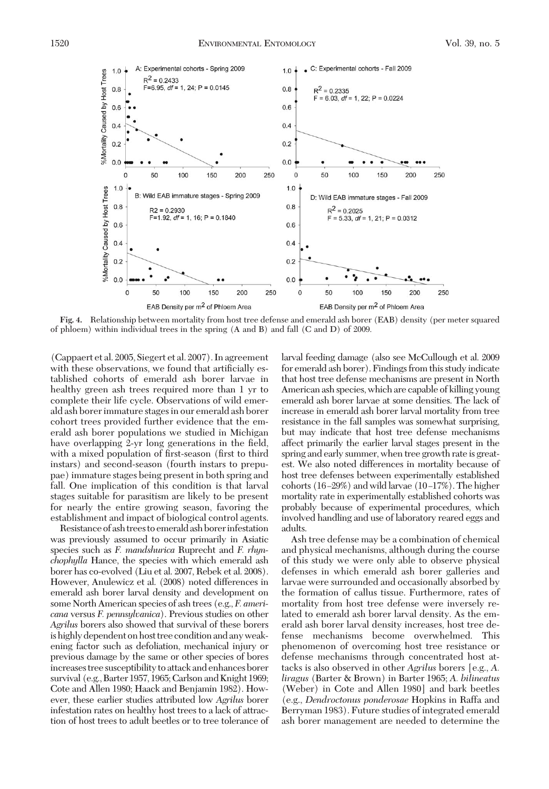

**Fig. 4.** Relationship between mortality from host tree defense and emerald ash borer (EAB) density (per meter squared of phloem) within individual trees in the spring (A and B) and fall (C and D) of 2009.

(Cappaert et al. 2005, Siegert et al. 2007). In agreement with these observations, we found that artificially established cohorts of emerald ash borer larvae in healthy green ash trees required more than 1 yr to complete their life cycle. Observations of wild emerald ash borer immature stages in our emerald ash borer cohort trees provided further evidence that the emerald ash borer populations we studied in Michigan have overlapping 2-yr long generations in the field, with a mixed population of first-season (first to third instars) and second-season (fourth instars to prepupae) immature stages being present in both spring and fall. One implication of this condition is that larval stages suitable for parasitism are likely to be present for nearly the entire growing season, favoring the establishment and impact of biological control agents.

Resistance of ash trees to emerald ash borer infestation was previously assumed to occur primarily in Asiatic species such as *F. mandshurica* Ruprecht and *F. rhynchophylla* Hance, the species with which emerald ash borer has co-evolved (Liu et al. 2007, Rebek et al. 2008). However, Anulewicz et al. (2008) noted differences in emerald ash borer larval density and development on some North American species of ash trees (e.g., *F. americana* versus *F. pennsylvanica*). Previous studies on other *Agrilus* borers also showed that survival of these borers is highly dependent on host tree condition and any weakening factor such as defoliation, mechanical injury or previous damage by the same or other species of bores increases tree susceptibility to attack and enhances borer survival (e.g., Barter 1957, 1965; Carlson and Knight 1969; Cote and Allen 1980; Haack and Benjamin 1982). However, these earlier studies attributed low *Agrilus* borer infestation rates on healthy host trees to a lack of attraction of host trees to adult beetles or to tree tolerance of

larval feeding damage (also see McCullough et al. 2009 for emerald ash borer). Findings from this study indicate that host tree defense mechanisms are present in North American ash species, which are capable of killing young emerald ash borer larvae at some densities. The lack of increase in emerald ash borer larval mortality from tree resistance in the fall samples was somewhat surprising, but may indicate that host tree defense mechanisms affect primarily the earlier larval stages present in the spring and early summer, when tree growth rate is greatest. We also noted differences in mortality because of host tree defenses between experimentally established cohorts  $(16–29%)$  and wild larvae  $(10–17%)$ . The higher mortality rate in experimentally established cohorts was probably because of experimental procedures, which involved handling and use of laboratory reared eggs and adults.

Ash tree defense may be a combination of chemical and physical mechanisms, although during the course of this study we were only able to observe physical defenses in which emerald ash borer galleries and larvae were surrounded and occasionally absorbed by the formation of callus tissue. Furthermore, rates of mortality from host tree defense were inversely related to emerald ash borer larval density. As the emerald ash borer larval density increases, host tree defense mechanisms become overwhelmed. This phenomenon of overcoming host tree resistance or defense mechanisms through concentrated host attacks is also observed in other *Agrilus* borers [e.g., *A. liragus* (Barter & Brown) in Barter 1965; *A. bilineatus* (Weber) in Cote and Allen 1980] and bark beetles (e.g., *Dendroctonus ponderosae* Hopkins in Raffa and Berryman 1983). Future studies of integrated emerald ash borer management are needed to determine the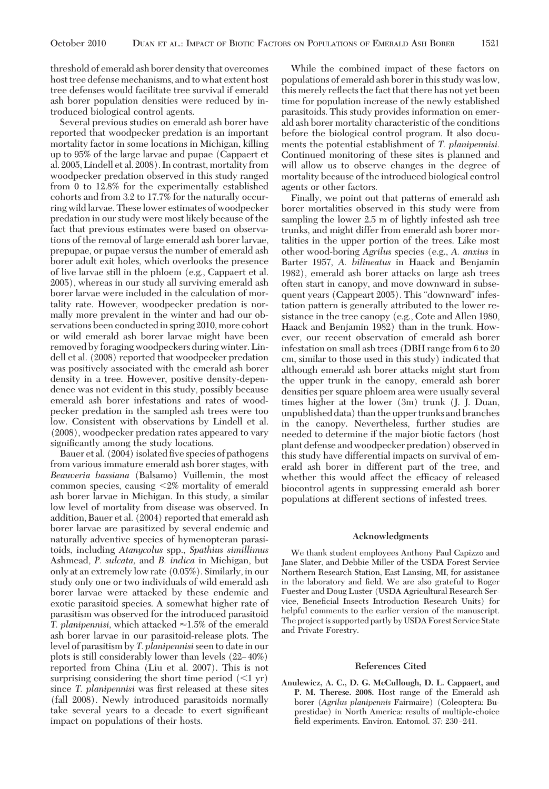threshold of emerald ash borer density that overcomes host tree defense mechanisms, and to what extent host tree defenses would facilitate tree survival if emerald ash borer population densities were reduced by introduced biological control agents.

Several previous studies on emerald ash borer have reported that woodpecker predation is an important mortality factor in some locations in Michigan, killing up to 95% of the large larvae and pupae (Cappaert et al. 2005, Lindell et al. 2008). In contrast, mortality from woodpecker predation observed in this study ranged from 0 to 12.8% for the experimentally established cohorts and from 3.2 to 17.7% for the naturally occurring wild larvae. These lower estimates of woodpecker predation in our study were most likely because of the fact that previous estimates were based on observations of the removal of large emerald ash borer larvae, prepupae, or pupae versus the number of emerald ash borer adult exit holes, which overlooks the presence of live larvae still in the phloem (e.g., Cappaert et al. 2005), whereas in our study all surviving emerald ash borer larvae were included in the calculation of mortality rate. However, woodpecker predation is normally more prevalent in the winter and had our observations been conducted in spring 2010, more cohort or wild emerald ash borer larvae might have been removed by foraging woodpeckers during winter. Lindell et al. (2008) reported that woodpecker predation was positively associated with the emerald ash borer density in a tree. However, positive density-dependence was not evident in this study, possibly because emerald ash borer infestations and rates of woodpecker predation in the sampled ash trees were too low. Consistent with observations by Lindell et al. (2008), woodpecker predation rates appeared to vary significantly among the study locations.

Bauer et al. (2004) isolated five species of pathogens from various immature emerald ash borer stages, with *Beauveria bassiana* (Balsamo) Vuillemin, the most common species, causing <2% mortality of emerald ash borer larvae in Michigan. In this study, a similar low level of mortality from disease was observed. In addition, Bauer et al. (2004) reported that emerald ash borer larvae are parasitized by several endemic and naturally adventive species of hymenopteran parasitoids, including *Atanycolus* spp., *Spathius simillimus* Ashmead, *P. sulcata,* and *B. indica* in Michigan, but only at an extremely low rate (0.05%). Similarly, in our study only one or two individuals of wild emerald ash borer larvae were attacked by these endemic and exotic parasitoid species. A somewhat higher rate of parasitism was observed for the introduced parasitoid *T. planipennisi*, which attacked  $\approx$  1.5% of the emerald ash borer larvae in our parasitoid-release plots. The level of parasitism by *T. planipennisi*seen to date in our plots is still considerably lower than levels  $(22-40\%)$ reported from China (Liu et al. 2007). This is not surprising considering the short time period  $(\leq 1$  yr) since *T. planipennisi* was first released at these sites (fall 2008). Newly introduced parasitoids normally take several years to a decade to exert significant impact on populations of their hosts.

While the combined impact of these factors on populations of emerald ash borer in this study was low, this merely reßects the fact that there has not yet been time for population increase of the newly established parasitoids. This study provides information on emerald ash borer mortality characteristic of the conditions before the biological control program. It also documents the potential establishment of *T. planipennisi.* Continued monitoring of these sites is planned and will allow us to observe changes in the degree of mortality because of the introduced biological control agents or other factors.

Finally, we point out that patterns of emerald ash borer mortalities observed in this study were from sampling the lower 2.5 m of lightly infested ash tree trunks, and might differ from emerald ash borer mortalities in the upper portion of the trees. Like most other wood-boring *Agrilus* species (e.g., *A. anxius* in Barter 1957, *A. bilineatus* in Haack and Benjamin 1982), emerald ash borer attacks on large ash trees often start in canopy, and move downward in subsequent years (Cappeart 2005). This "downward" infestation pattern is generally attributed to the lower resistance in the tree canopy (e.g., Cote and Allen 1980, Haack and Benjamin 1982) than in the trunk. However, our recent observation of emerald ash borer infestation on small ash trees (DBH range from 6 to 20 cm, similar to those used in this study) indicated that although emerald ash borer attacks might start from the upper trunk in the canopy, emerald ash borer densities per square phloem area were usually several times higher at the lower (3m) trunk (J. J. Duan, unpublished data) than the upper trunks and branches in the canopy. Nevertheless, further studies are needed to determine if the major biotic factors (host plant defense and woodpecker predation) observed in this study have differential impacts on survival of emerald ash borer in different part of the tree, and whether this would affect the efficacy of released biocontrol agents in suppressing emerald ash borer populations at different sections of infested trees.

# **Acknowledgments**

We thank student employees Anthony Paul Capizzo and Jane Slater, and Debbie Miller of the USDA Forest Service Northern Research Station, East Lansing, MI, for assistance in the laboratory and field. We are also grateful to Roger Fuester and Doug Luster (USDA Agricultural Research Service, Beneficial Insects Introduction Research Units) for helpful comments to the earlier version of the manuscript. The project is supported partly by USDA Forest Service State and Private Forestry.

# **References Cited**

**Anulewicz, A. C., D. G. McCullough, D. L. Cappaert, and P. M. Therese. 2008.** Host range of the Emerald ash borer (*Agrilus planipennis* Fairmaire) (Coleoptera: Buprestidae) in North America: results of multiple-choice field experiments. Environ. Entomol. 37: 230-241.